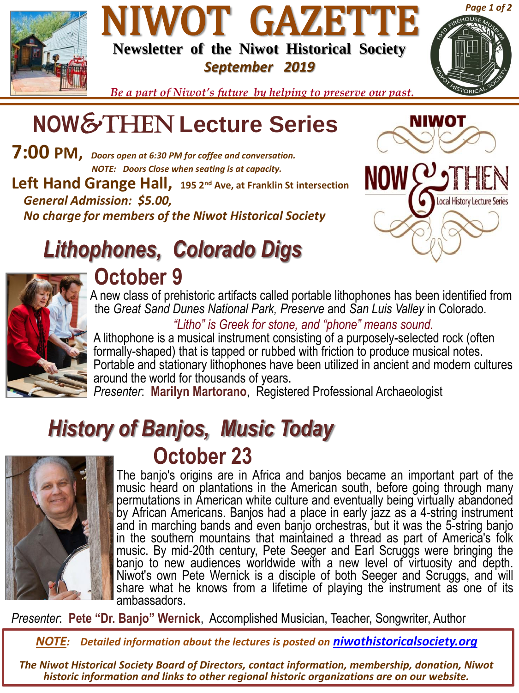

### NIWOT GAZETTE **Newsletter of the Niwot Historical Society** *September 2019*



*Be a part of Niwot's future by helping to preserve our past.*

# **NOW**&Then **Lecture Series**

**7:00 PM,** *Doors open at 6:30 PM for coffee and conversation. NOTE: Doors Close when seating is at capacity.* **Left Hand Grange Hall, 195 2nd Ave, at Franklin St intersection** *General Admission: \$5.00, No charge for members of the Niwot Historical Society* 



NIWOT

# *Lithophones, Colorado Digs*



### **October 9**

A new class of prehistoric artifacts called portable lithophones has been identified from the *Great Sand Dunes National Park, Preserve* and *San Luis Valley* in Colorado.

#### *"Litho" is Greek for stone, and "phone" means sound.*

A lithophone is a musical instrument consisting of a purposely-selected rock (often formally-shaped) that is tapped or rubbed with friction to produce musical notes. Portable and stationary lithophones have been utilized in ancient and modern cultures around the world for thousands of years.

*Presenter*: **Marilyn Martorano**, Registered Professional Archaeologist

## *History of Banjos, Music Today* **October 23**



The banjo's origins are in Africa and banjos became an important part of the music heard on plantations in the American south, before going through many permutations in American white culture and eventually being virtually abandoned by African Americans. Banjos had a place in early jazz as a 4-string instrument and in marching bands and even banjo orchestras, but it was the 5-string banjo in the southern mountains that maintained a thread as part of America's folk music. By mid-20th century, Pete Seeger and Earl Scruggs were bringing the banjo to new audiences worldwide with a new level of virtuosity and depth. Niwot's own Pete Wernick is a disciple of both Seeger and Scruggs, and will share what he knows from a lifetime of playing the instrument as one of its ambassadors.

*Presenter*: **Pete "Dr. Banjo" Wernick**, Accomplished Musician, Teacher, Songwriter, Author

*NOTE: Detailed information about the lectures is posted on [niwothistoricalsociety.org](http://www.niwothistoricalsociety.org/)*

*The Niwot Historical Society Board of Directors, contact information, membership, donation, Niwot historic information and links to other regional historic organizations are on our website.*